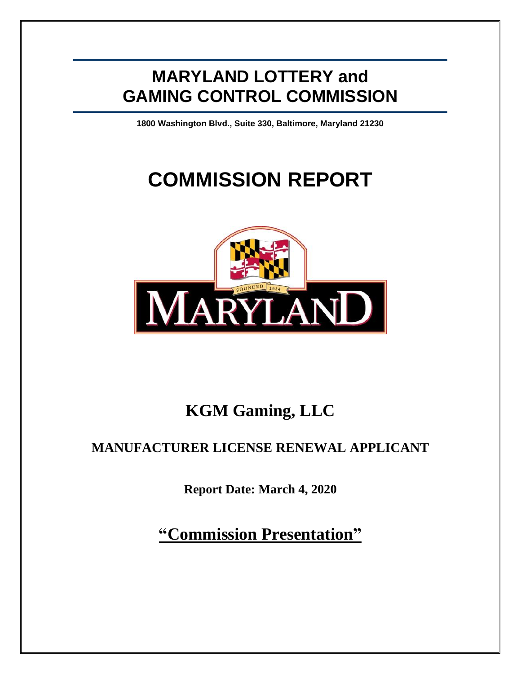# **MARYLAND LOTTERY and GAMING CONTROL COMMISSION**

**1800 Washington Blvd., Suite 330, Baltimore, Maryland 21230**

# **COMMISSION REPORT**



# **KGM Gaming, LLC**

# **MANUFACTURER LICENSE RENEWAL APPLICANT**

**Report Date: March 4, 2020**

**"Commission Presentation"**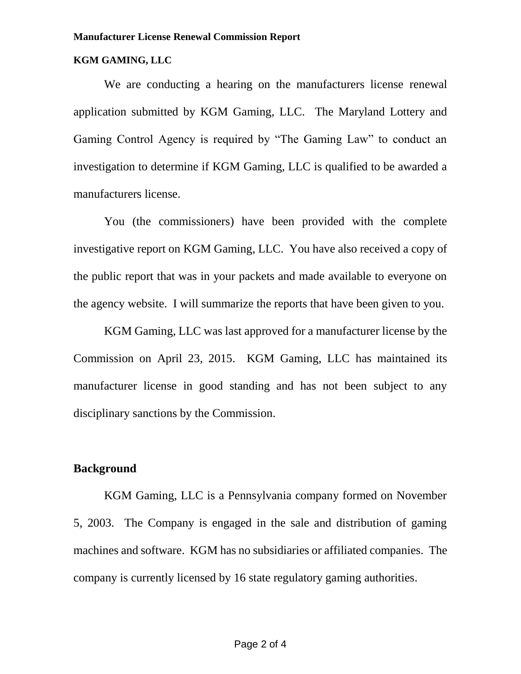#### **Manufacturer License Renewal Commission Report**

#### **KGM GAMING, LLC**

We are conducting a hearing on the manufacturers license renewal application submitted by KGM Gaming, LLC. The Maryland Lottery and Gaming Control Agency is required by "The Gaming Law" to conduct an investigation to determine if KGM Gaming, LLC is qualified to be awarded a manufacturers license.

You (the commissioners) have been provided with the complete investigative report on KGM Gaming, LLC. You have also received a copy of the public report that was in your packets and made available to everyone on the agency website. I will summarize the reports that have been given to you.

KGM Gaming, LLC was last approved for a manufacturer license by the Commission on April 23, 2015. KGM Gaming, LLC has maintained its manufacturer license in good standing and has not been subject to any disciplinary sanctions by the Commission.

#### **Background**

KGM Gaming, LLC is a Pennsylvania company formed on November 5, 2003. The Company is engaged in the sale and distribution of gaming machines and software. KGM has no subsidiaries or affiliated companies. The company is currently licensed by 16 state regulatory gaming authorities.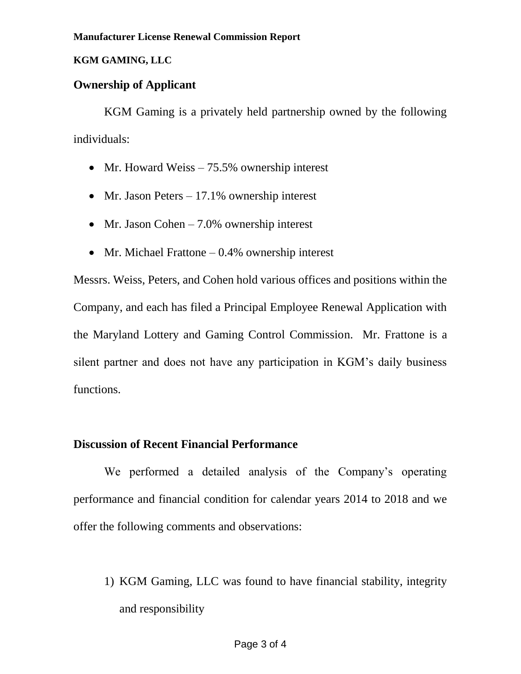### **KGM GAMING, LLC**

## **Ownership of Applicant**

KGM Gaming is a privately held partnership owned by the following individuals:

- Mr. Howard Weiss  $-75.5\%$  ownership interest
- Mr. Jason Peters  $-17.1\%$  ownership interest
- Mr. Jason Cohen  $-7.0\%$  ownership interest
- Mr. Michael Frattone  $-0.4%$  ownership interest

Messrs. Weiss, Peters, and Cohen hold various offices and positions within the Company, and each has filed a Principal Employee Renewal Application with the Maryland Lottery and Gaming Control Commission. Mr. Frattone is a silent partner and does not have any participation in KGM's daily business functions.

# **Discussion of Recent Financial Performance**

We performed a detailed analysis of the Company's operating performance and financial condition for calendar years 2014 to 2018 and we offer the following comments and observations:

1) KGM Gaming, LLC was found to have financial stability, integrity and responsibility